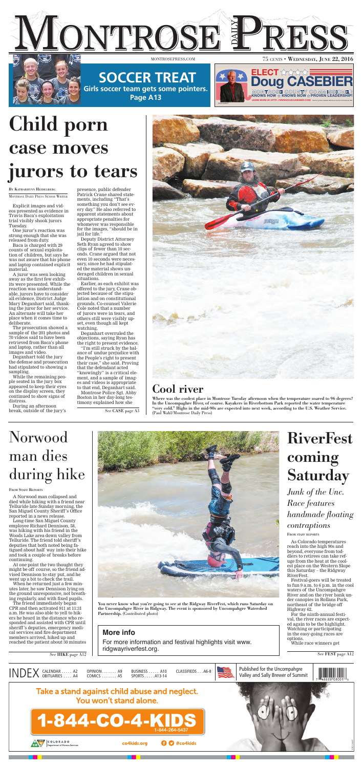

### **SOCCER TREAT Girls soccer team gets some pointers.**

**Page A13**

**Doug CASEBIER**

**KNOWS HOW**  $\hat{\mathbf{x}}$  **KNOWS NOW**  $\hat{\mathbf{x}}$  **PROVEN LEADERSHIP!** 



**LEARN MORE AT: HTTP: //WWW.DOUGCASEBIER.COM/** 

**ECT** 

**MONTROSE COUNTY COMMISSIONER**

Paid for by Elect Casebier Montrose County Commissioner D#3

XNLV268957

# Child porn case moves jurors to tears

BY KATHARHYNN HEIDELBERG

MONTROSE DAILY PRESS SENIOR WRITER

Explicit images and videos presented as evidence in Travis Baca's exploitation trial visibly shook jurors Tuesday.

One juror's reaction was strong enough that she was released from duty.

Baca is charged with 29 counts of sexual exploitation of children, but says he was not aware that his phone and laptop contained explicit material.

A juror was seen looking away as the first few exhibits were presented. While the reaction was understandable, jurors have to consider all evidence, District Judge Mary Deganhart said, thanking the juror for her service. An alternate will take her place when it comes time to deliberate.

The prosecution showed a sample of the 201 photos and 70 videos said to have been retrieved from Baca's phone and laptop, rather than all images and video.

## RiverFest coming **Saturday**

Deganhart told the jury the defense and prosecution had stipulated to showing a sampling.

While the remaining people seated in the jury box appeared to keep their eyes on the display screen, they continued to show signs of distress.

During an afternoon break, outside of the jury's

presence, public defender Patrick Crane shared statements, including "That's something you don't see every day." He also referred to apparent statements about appropriate penalties for whomever was responsible for the images, "should be in jail for life."

Deputy District Attorney Seth Ryan agreed to show clips of fewer than 10 seconds. Crane argued that not even 10 seconds were necessary, since he had stipulated the material shows underaged children in sexual situations.

Earlier, as each exhibit was offered to the jury, Crane objected because of the stipulation and on constitutional grounds. Co-counsel Valerie Cole noted that a number of jurors were in tears, and others still were visibly upset, even though all kept watching.

Deganhart overruled the objections, saying Ryan has the right to present evidence.

For more information and festival highlights visit www. ridgwayriverfest.org.  $\overline{S}$ ee HIKE page A12 See FEST page A12

"I'm still struck by the balance of undue prejudice with the People's right to present their case," she said. Proving that the defendant acted "knowingly" is a critical element, and a sample of images and videos is appropriate to that end, Deganhart said.

Montrose Police Sgt. Abby Boston in her day-long testimony explained how she

> As Colorado temperatures reach into the high 90s and beyond, everyone from toddlers to retirees can take refuge from the heat at the coolest place on the Western Slope this Saturday – the Ridgway RiverFest.

Festival-goers will be treated to fun 9 a.m. to 6 p.m. in the cool waters of the Uncompahgre River and on the river bank under canopies in Rollans Park, northeast of the bridge off Highway 62.

For the ninth-annual festival, the river races are expected again to be the highlight. Watching or participating in the easy-going races are options.

While race winners get

### Norwood man dies during hike

FROM STAFF REPORTS

A Norwood man collapsed and died while hiking with a friend near Telluride late Sunday morning, the San Miguel County Sheriff 's Office reported in a news release.

Long-time San Miguel County employee Richard Dennison, 58, was hiking with his friend in the Woods Lake area down valley from Telluride. The friend told sheriff 's deputies that both noted being fatigued about half way into their hike and took a couple of breaks before continuing.

At one point the two thought they might be off course, so the friend advised Dennison to stay put, and he went up a bit to check the trail.

When he returned just a few minutes later, he saw Dennison lying on the ground unresponsive, not breathing regularly, and with fixed pupils.

The friend immediately began CPR and then activated 911 at 11:31 a.m. He was also able to yell to hikers he heard in the distance who responded and assisted with CPR until sheriff 's deputies, emergency medical services and fire department members arrived, hiked up and reached the patient about 30 minutes



*Junk of the Unc. Race features handmade floating contraptions*

FROM STAFF REPORTS

You never know what you're going to see at the Ridgway RiverFest, which runs Saturday on the Uncompahgre River in Ridgway. The event is sponsored by Uncompahgre Watershed Partnership. (Contributed photo)

### Cool river

Where was the coolest place in Montrose Tuesday afternoon when the temperature soared to 96 degrees? In the Uncompaghre River, of course. Kayakers in Riverbottom Park reported the water temperature "very cold." Highs in the mid-90s are expected into next week, according to the U.S. Weather Service. (Paul Wahl/Montrose Daily Press)

### **More info**

See CASE page A3